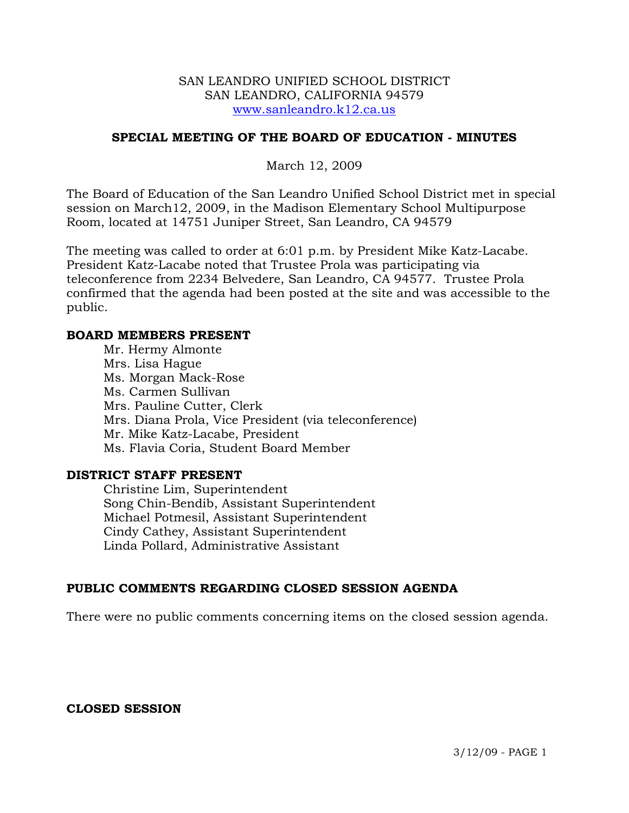#### SAN LEANDRO UNIFIED SCHOOL DISTRICT SAN LEANDRO, CALIFORNIA 94579 www.sanleandro.k12.ca.us

# **SPECIAL MEETING OF THE BOARD OF EDUCATION - MINUTES**

March 12, 2009

The Board of Education of the San Leandro Unified School District met in special session on March12, 2009, in the Madison Elementary School Multipurpose Room, located at 14751 Juniper Street, San Leandro, CA 94579

The meeting was called to order at 6:01 p.m. by President Mike Katz-Lacabe. President Katz-Lacabe noted that Trustee Prola was participating via teleconference from 2234 Belvedere, San Leandro, CA 94577. Trustee Prola confirmed that the agenda had been posted at the site and was accessible to the public.

#### **BOARD MEMBERS PRESENT**

Mr. Hermy Almonte Mrs. Lisa Hague Ms. Morgan Mack-Rose Ms. Carmen Sullivan Mrs. Pauline Cutter, Clerk Mrs. Diana Prola, Vice President (via teleconference) Mr. Mike Katz-Lacabe, President Ms. Flavia Coria, Student Board Member

### **DISTRICT STAFF PRESENT**

Christine Lim, Superintendent Song Chin-Bendib, Assistant Superintendent Michael Potmesil, Assistant Superintendent Cindy Cathey, Assistant Superintendent Linda Pollard, Administrative Assistant

### **PUBLIC COMMENTS REGARDING CLOSED SESSION AGENDA**

There were no public comments concerning items on the closed session agenda.

### **CLOSED SESSION**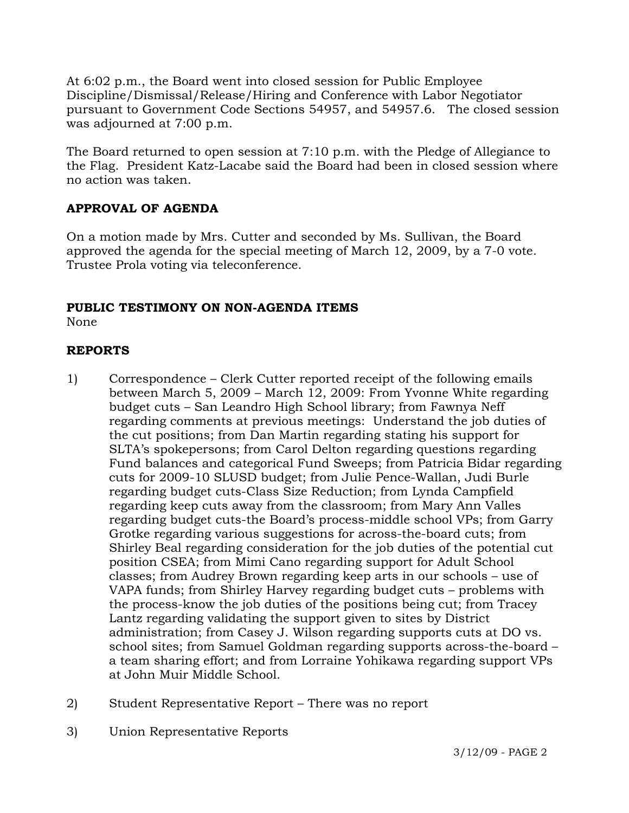At 6:02 p.m., the Board went into closed session for Public Employee Discipline/Dismissal/Release/Hiring and Conference with Labor Negotiator pursuant to Government Code Sections 54957, and 54957.6. The closed session was adjourned at 7:00 p.m.

The Board returned to open session at 7:10 p.m. with the Pledge of Allegiance to the Flag. President Katz-Lacabe said the Board had been in closed session where no action was taken.

# **APPROVAL OF AGENDA**

On a motion made by Mrs. Cutter and seconded by Ms. Sullivan, the Board approved the agenda for the special meeting of March 12, 2009, by a 7-0 vote. Trustee Prola voting via teleconference.

# **PUBLIC TESTIMONY ON NON-AGENDA ITEMS**

None

# **REPORTS**

- 1) Correspondence Clerk Cutter reported receipt of the following emails between March 5, 2009 – March 12, 2009: From Yvonne White regarding budget cuts – San Leandro High School library; from Fawnya Neff regarding comments at previous meetings: Understand the job duties of the cut positions; from Dan Martin regarding stating his support for SLTA's spokepersons; from Carol Delton regarding questions regarding Fund balances and categorical Fund Sweeps; from Patricia Bidar regarding cuts for 2009-10 SLUSD budget; from Julie Pence-Wallan, Judi Burle regarding budget cuts-Class Size Reduction; from Lynda Campfield regarding keep cuts away from the classroom; from Mary Ann Valles regarding budget cuts-the Board's process-middle school VPs; from Garry Grotke regarding various suggestions for across-the-board cuts; from Shirley Beal regarding consideration for the job duties of the potential cut position CSEA; from Mimi Cano regarding support for Adult School classes; from Audrey Brown regarding keep arts in our schools – use of VAPA funds; from Shirley Harvey regarding budget cuts – problems with the process-know the job duties of the positions being cut; from Tracey Lantz regarding validating the support given to sites by District administration; from Casey J. Wilson regarding supports cuts at DO vs. school sites; from Samuel Goldman regarding supports across-the-board – a team sharing effort; and from Lorraine Yohikawa regarding support VPs at John Muir Middle School.
- 2) Student Representative Report There was no report
- 3) Union Representative Reports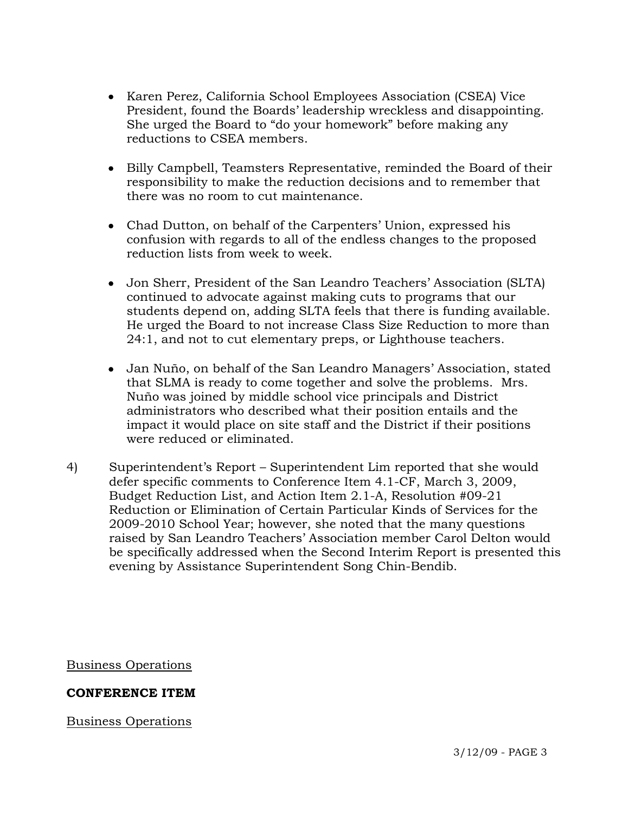- Karen Perez, California School Employees Association (CSEA) Vice President, found the Boards' leadership wreckless and disappointing. She urged the Board to "do your homework" before making any reductions to CSEA members.
- Billy Campbell, Teamsters Representative, reminded the Board of their responsibility to make the reduction decisions and to remember that there was no room to cut maintenance.
- Chad Dutton, on behalf of the Carpenters' Union, expressed his confusion with regards to all of the endless changes to the proposed reduction lists from week to week.
- Jon Sherr, President of the San Leandro Teachers' Association (SLTA) continued to advocate against making cuts to programs that our students depend on, adding SLTA feels that there is funding available. He urged the Board to not increase Class Size Reduction to more than 24:1, and not to cut elementary preps, or Lighthouse teachers.
- Jan Nuño, on behalf of the San Leandro Managers' Association, stated that SLMA is ready to come together and solve the problems. Mrs. Nuño was joined by middle school vice principals and District administrators who described what their position entails and the impact it would place on site staff and the District if their positions were reduced or eliminated.
- 4) Superintendent's Report Superintendent Lim reported that she would defer specific comments to Conference Item 4.1-CF, March 3, 2009, Budget Reduction List, and Action Item 2.1-A, Resolution #09-21 Reduction or Elimination of Certain Particular Kinds of Services for the 2009-2010 School Year; however, she noted that the many questions raised by San Leandro Teachers' Association member Carol Delton would be specifically addressed when the Second Interim Report is presented this evening by Assistance Superintendent Song Chin-Bendib.

Business Operations

# **CONFERENCE ITEM**

Business Operations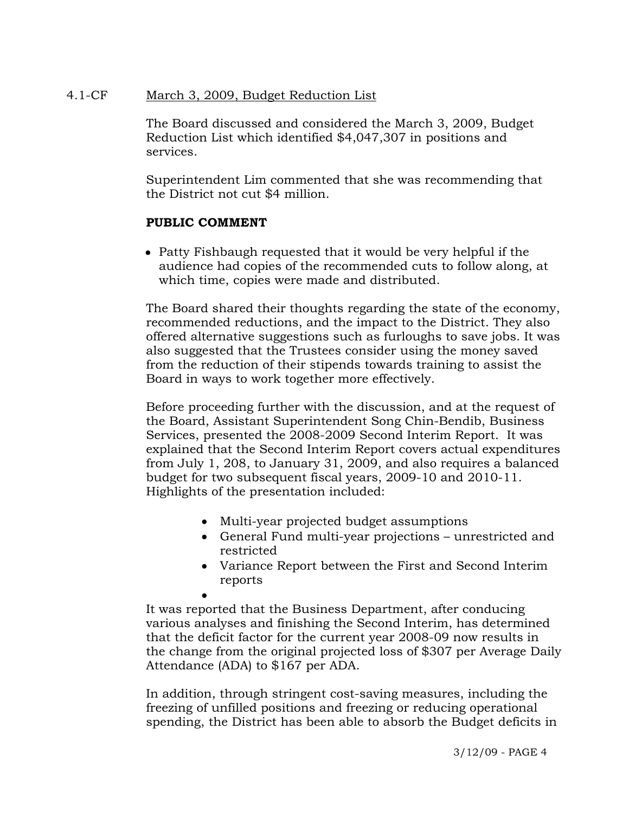# 4.1-CF March 3, 2009, Budget Reduction List

The Board discussed and considered the March 3, 2009, Budget Reduction List which identified \$4,047,307 in positions and services.

Superintendent Lim commented that she was recommending that the District not cut \$4 million.

### **PUBLIC COMMENT**

• Patty Fishbaugh requested that it would be very helpful if the audience had copies of the recommended cuts to follow along, at which time, copies were made and distributed.

The Board shared their thoughts regarding the state of the economy, recommended reductions, and the impact to the District. They also offered alternative suggestions such as furloughs to save jobs. It was also suggested that the Trustees consider using the money saved from the reduction of their stipends towards training to assist the Board in ways to work together more effectively.

Before proceeding further with the discussion, and at the request of the Board, Assistant Superintendent Song Chin-Bendib, Business Services, presented the 2008-2009 Second Interim Report. It was explained that the Second Interim Report covers actual expenditures from July 1, 208, to January 31, 2009, and also requires a balanced budget for two subsequent fiscal years, 2009-10 and 2010-11. Highlights of the presentation included:

- Multi-year projected budget assumptions
- General Fund multi-year projections unrestricted and restricted
- Variance Report between the First and Second Interim reports

• It was reported that the Business Department, after conducing various analyses and finishing the Second Interim, has determined that the deficit factor for the current year 2008-09 now results in the change from the original projected loss of \$307 per Average Daily Attendance (ADA) to \$167 per ADA.

In addition, through stringent cost-saving measures, including the freezing of unfilled positions and freezing or reducing operational spending, the District has been able to absorb the Budget deficits in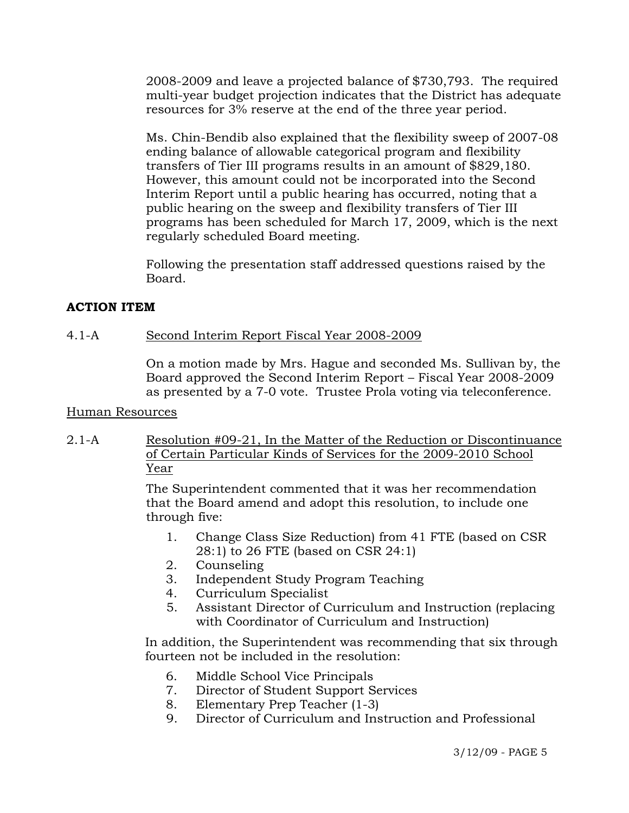2008-2009 and leave a projected balance of \$730,793. The required multi-year budget projection indicates that the District has adequate resources for 3% reserve at the end of the three year period.

Ms. Chin-Bendib also explained that the flexibility sweep of 2007-08 ending balance of allowable categorical program and flexibility transfers of Tier III programs results in an amount of \$829,180. However, this amount could not be incorporated into the Second Interim Report until a public hearing has occurred, noting that a public hearing on the sweep and flexibility transfers of Tier III programs has been scheduled for March 17, 2009, which is the next regularly scheduled Board meeting.

Following the presentation staff addressed questions raised by the Board.

### **ACTION ITEM**

### 4.1-A Second Interim Report Fiscal Year 2008-2009

On a motion made by Mrs. Hague and seconded Ms. Sullivan by, the Board approved the Second Interim Report – Fiscal Year 2008-2009 as presented by a 7-0 vote. Trustee Prola voting via teleconference.

### Human Resources

2.1-A Resolution #09-21, In the Matter of the Reduction or Discontinuance of Certain Particular Kinds of Services for the 2009-2010 School Year

> The Superintendent commented that it was her recommendation that the Board amend and adopt this resolution, to include one through five:

- 1. Change Class Size Reduction) from 41 FTE (based on CSR 28:1) to 26 FTE (based on CSR 24:1)
- 2. Counseling
- 3. Independent Study Program Teaching
- 4. Curriculum Specialist
- 5. Assistant Director of Curriculum and Instruction (replacing with Coordinator of Curriculum and Instruction)

In addition, the Superintendent was recommending that six through fourteen not be included in the resolution:

- 6. Middle School Vice Principals
- 7. Director of Student Support Services
- 8. Elementary Prep Teacher (1-3)
- 9. Director of Curriculum and Instruction and Professional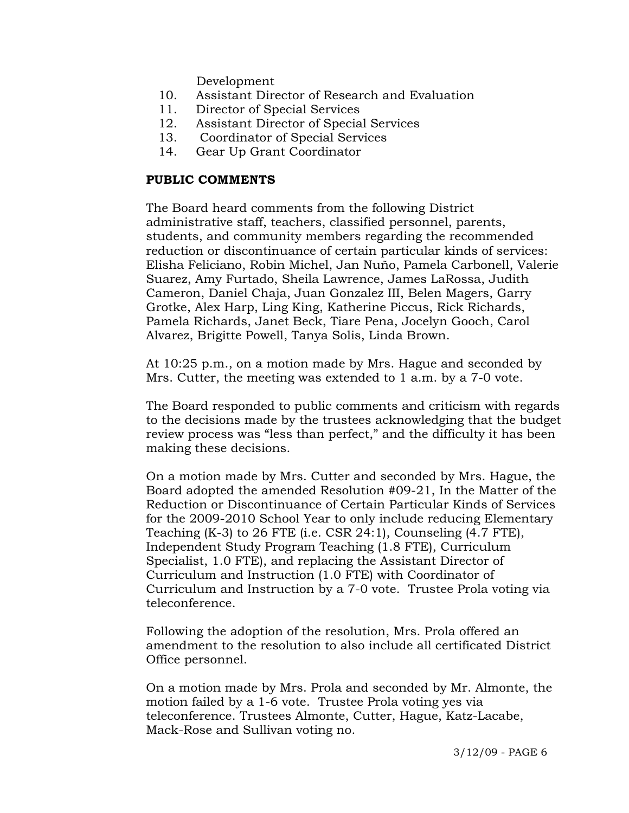Development

- 10. Assistant Director of Research and Evaluation
- 11. Director of Special Services
- 12. Assistant Director of Special Services
- 13. Coordinator of Special Services
- 14. Gear Up Grant Coordinator

# **PUBLIC COMMENTS**

The Board heard comments from the following District administrative staff, teachers, classified personnel, parents, students, and community members regarding the recommended reduction or discontinuance of certain particular kinds of services: Elisha Feliciano, Robin Michel, Jan Nuño, Pamela Carbonell, Valerie Suarez, Amy Furtado, Sheila Lawrence, James LaRossa, Judith Cameron, Daniel Chaja, Juan Gonzalez III, Belen Magers, Garry Grotke, Alex Harp, Ling King, Katherine Piccus, Rick Richards, Pamela Richards, Janet Beck, Tiare Pena, Jocelyn Gooch, Carol Alvarez, Brigitte Powell, Tanya Solis, Linda Brown.

At 10:25 p.m., on a motion made by Mrs. Hague and seconded by Mrs. Cutter, the meeting was extended to 1 a.m. by a 7-0 vote.

The Board responded to public comments and criticism with regards to the decisions made by the trustees acknowledging that the budget review process was "less than perfect," and the difficulty it has been making these decisions.

On a motion made by Mrs. Cutter and seconded by Mrs. Hague, the Board adopted the amended Resolution #09-21, In the Matter of the Reduction or Discontinuance of Certain Particular Kinds of Services for the 2009-2010 School Year to only include reducing Elementary Teaching (K-3) to 26 FTE (i.e. CSR 24:1), Counseling (4.7 FTE), Independent Study Program Teaching (1.8 FTE), Curriculum Specialist, 1.0 FTE), and replacing the Assistant Director of Curriculum and Instruction (1.0 FTE) with Coordinator of Curriculum and Instruction by a 7-0 vote. Trustee Prola voting via teleconference.

Following the adoption of the resolution, Mrs. Prola offered an amendment to the resolution to also include all certificated District Office personnel.

On a motion made by Mrs. Prola and seconded by Mr. Almonte, the motion failed by a 1-6 vote. Trustee Prola voting yes via teleconference. Trustees Almonte, Cutter, Hague, Katz-Lacabe, Mack-Rose and Sullivan voting no.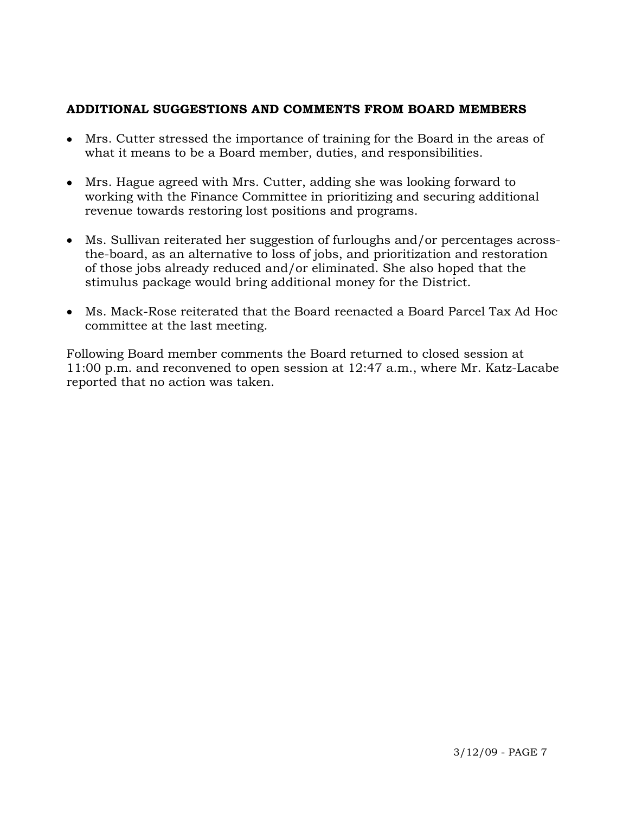# **ADDITIONAL SUGGESTIONS AND COMMENTS FROM BOARD MEMBERS**

- Mrs. Cutter stressed the importance of training for the Board in the areas of what it means to be a Board member, duties, and responsibilities.
- Mrs. Hague agreed with Mrs. Cutter, adding she was looking forward to working with the Finance Committee in prioritizing and securing additional revenue towards restoring lost positions and programs.
- Ms. Sullivan reiterated her suggestion of furloughs and/or percentages acrossthe-board, as an alternative to loss of jobs, and prioritization and restoration of those jobs already reduced and/or eliminated. She also hoped that the stimulus package would bring additional money for the District.
- Ms. Mack-Rose reiterated that the Board reenacted a Board Parcel Tax Ad Hoc committee at the last meeting.

Following Board member comments the Board returned to closed session at 11:00 p.m. and reconvened to open session at 12:47 a.m., where Mr. Katz-Lacabe reported that no action was taken.